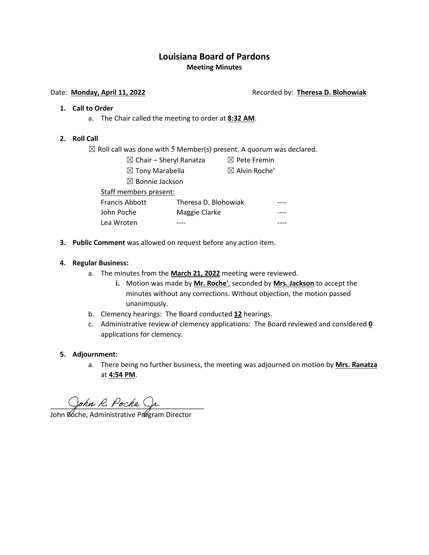# **Louisiana Board of Pardons Meeting Minutes**

#### Date: **Monday, April 11, 2022 Recorded by: Theresa D. Blohowiak**

#### **1. Call to Order**

a. The Chair called the meeting to order at **8:32 AM**.

#### **2. Roll Call**

 $\boxtimes$  Roll call was done with 5 Member(s) present. A quorum was declared.

- $\boxtimes$  Chair Sheryl Ranatza  $\boxtimes$  Pete Fremin
	- $\boxtimes$  Tony Marabella  $\boxtimes$  Alvin Roche'
	- ☒ Bonnie Jackson

Staff members present: Francis Abbott Theresa D. Blohowiak

- John Poche Maggie Clarke Lea Wroten ----
- **3. Public Comment** was allowed on request before any action item.

#### **4. Regular Business:**

- a. The minutes from the **March 21, 2022** meeting were reviewed.
	- **i.** Motion was made by **Mr. Roche'**, seconded by **Mrs. Jackson** to accept the minutes without any corrections. Without objection, the motion passed unanimously.
- b. Clemency hearings: The Board conducted **12** hearings.
- c. Administrative review of clemency applications: The Board reviewed and considered **0** applications for clemency.

#### **5. Adjournment:**

a. There being no further business, the meeting was adjourned on motion by **Mrs. Ranatza** at **4:54 PM**.

 $Sophn \kappa. Pochc \gamma n.$ 

John Póche, Administrative Prøgram Director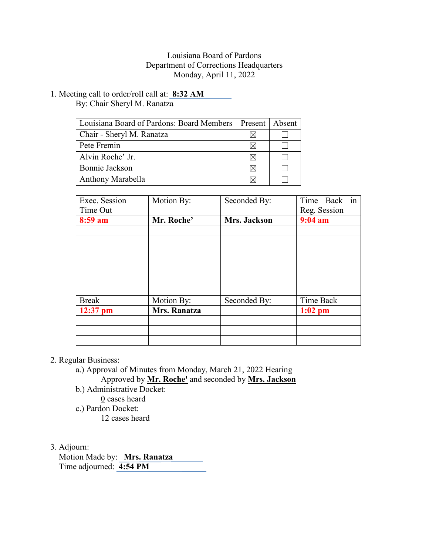## Louisiana Board of Pardons Department of Corrections Headquarters Monday, April 11, 2022

1. Meeting call to order/roll call at: **8:32 AM** By: Chair Sheryl M. Ranatza

| Louisiana Board of Pardons: Board Members | Present   Absent |  |
|-------------------------------------------|------------------|--|
| Chair - Sheryl M. Ranatza                 |                  |  |
| Pete Fremin                               |                  |  |
| Alvin Roche' Jr.                          |                  |  |
| Bonnie Jackson                            | ΙX               |  |
| Anthony Marabella                         |                  |  |

| Exec. Session<br>Time Out | Motion By:   | Seconded By: | in<br>Time Back<br>Reg. Session |  |
|---------------------------|--------------|--------------|---------------------------------|--|
| 8:59 am                   | Mr. Roche'   | Mrs. Jackson | $9:04$ am                       |  |
|                           |              |              |                                 |  |
|                           |              |              |                                 |  |
|                           |              |              |                                 |  |
|                           |              |              |                                 |  |
|                           |              |              |                                 |  |
|                           |              |              |                                 |  |
|                           |              |              |                                 |  |
| <b>Break</b>              | Motion By:   | Seconded By: | Time Back                       |  |
| $12:37$ pm                | Mrs. Ranatza |              | $1:02$ pm                       |  |
|                           |              |              |                                 |  |
|                           |              |              |                                 |  |
|                           |              |              |                                 |  |

### 2. Regular Business:

- a.) Approval of Minutes from Monday, March 21, 2022 Hearing Approved by **Mr. Roche'** and seconded by **Mrs. Jackson**
- b.) Administrative Docket:
	- 0 cases heard
- c.) Pardon Docket:
	- 12 cases heard
- 3. Adjourn:

 Motion Made by: **Mrs. Ranatza** Time adjourned: **4:54 PM**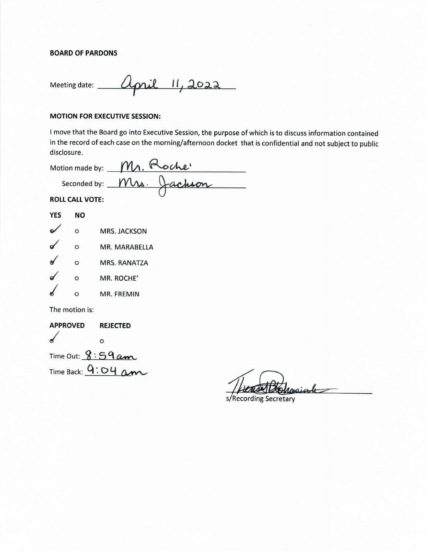#### **BOARD OF PARDONS**

Meeting date: <u>Cipril 11, 2022</u>

#### **MOTION FOR EXECUTIVE SESSION:**

I move that the Board go into Executive Session, the purpose of which is to discuss information contained in the record of each case on the morning/afternoon docket that is confidential and not subject to public disclosure.

Motion made by: Mr. Roche<br>Seconded by: Mrs. Jachson

**ROLL CALL VOTE:** 

| <b>YES</b> | NΟ       |                     |
|------------|----------|---------------------|
|            | $\circ$  | MRS. JACKSON        |
|            | $\Omega$ | MR. MARABELLA       |
|            | $\Omega$ | <b>MRS. RANATZA</b> |
|            | $\Omega$ | MR. ROCHE'          |
|            | $\Omega$ | <b>MR. FREMIN</b>   |
|            |          |                     |

The motion is:

**APPROVED REJECTED**  $\overline{\mathbf{r}}$  $\circ$ Time Out:  $8:59am$ Time Back:  $9:04$  am

pwiate

s/Recording Secretary